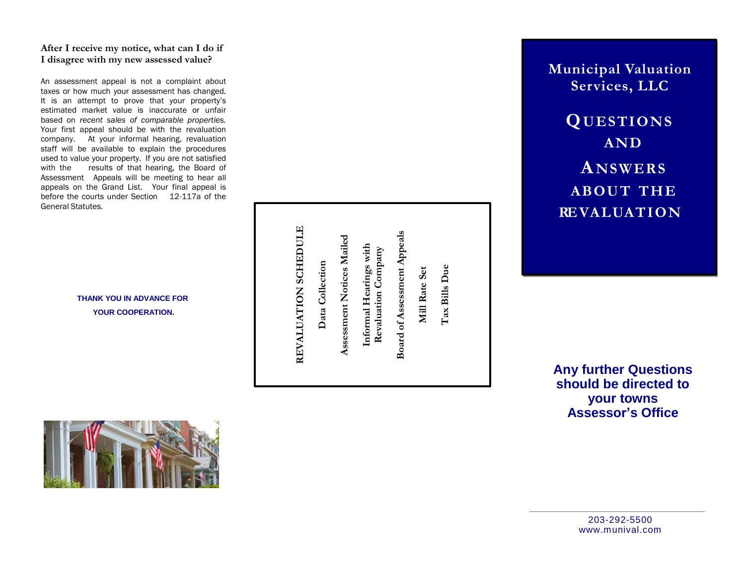# After I receive my notice, what can I do if I disagree with my new assessed value?

An assessment appeal is not a complaint about taxes or how much your assessment has changed. It is an attempt to prove that your property's estimated market value is inaccurate or unfair based on recent sales of comparable properties. Your first appeal should be with the revaluation company. At your informal hearing, revaluation staff will be available to explain the procedures used to value your property. If you are not satisfied with t he results of that hearing, the Board of Assessment Appeals will be meeting to hear all appeals on the Grand List. Your final appeal is before the courts under Section 12-117a of the General Statutes.

> **THANK YOU IN ADVANCE FOR** YOUR COOPERATION.



**M u n i c i p a l Val uatio n** Services, LLC

**Q U E S T I O NS AN D A N S W E R S A B O UT T H E RE V A L U A T I O N**

**Any further Questions** should be directed to **y o u r t o w ns Assessor's Office**